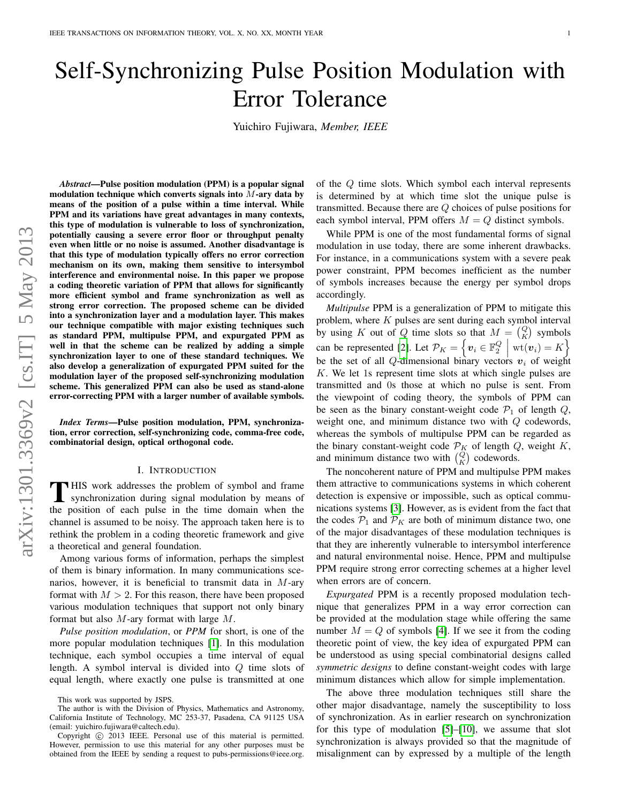# Self-Synchronizing Pulse Position Modulation with Error Tolerance

Yuichiro Fujiwara, *Member, IEEE*

*Abstract*—Pulse position modulation (PPM) is a popular signal modulation technique which converts signals into  $M$ -ary data by means of the position of a pulse within a time interval. While PPM and its variations have great advantages in many contexts, this type of modulation is vulnerable to loss of synchronization, potentially causing a severe error floor or throughput penalty even when little or no noise is assumed. Another disadvantage is that this type of modulation typically offers no error correction mechanism on its own, making them sensitive to intersymbol interference and environmental noise. In this paper we propose a coding theoretic variation of PPM that allows for significantly more efficient symbol and frame synchronization as well as strong error correction. The proposed scheme can be divided into a synchronization layer and a modulation layer. This makes our technique compatible with major existing techniques such as standard PPM, multipulse PPM, and expurgated PPM as well in that the scheme can be realized by adding a simple synchronization layer to one of these standard techniques. We also develop a generalization of expurgated PPM suited for the modulation layer of the proposed self-synchronizing modulation scheme. This generalized PPM can also be used as stand-alone error-correcting PPM with a larger number of available symbols.

*Index Terms*—Pulse position modulation, PPM, synchronization, error correction, self-synchronizing code, comma-free code, combinatorial design, optical orthogonal code.

#### I. INTRODUCTION

THIS work addresses the problem of symbol and frame<br>synchronization during signal modulation by means of synchronization during signal modulation by means of the position of each pulse in the time domain when the channel is assumed to be noisy. The approach taken here is to rethink the problem in a coding theoretic framework and give a theoretical and general foundation.

Among various forms of information, perhaps the simplest of them is binary information. In many communications scenarios, however, it is beneficial to transmit data in  $M$ -ary format with  $M > 2$ . For this reason, there have been proposed various modulation techniques that support not only binary format but also M-ary format with large M.

*Pulse position modulation*, or *PPM* for short, is one of the more popular modulation techniques [\[1\]](#page-9-0). In this modulation technique, each symbol occupies a time interval of equal length. A symbol interval is divided into Q time slots of equal length, where exactly one pulse is transmitted at one of the Q time slots. Which symbol each interval represents is determined by at which time slot the unique pulse is transmitted. Because there are Q choices of pulse positions for each symbol interval, PPM offers  $M = Q$  distinct symbols.

While PPM is one of the most fundamental forms of signal modulation in use today, there are some inherent drawbacks. For instance, in a communications system with a severe peak power constraint, PPM becomes inefficient as the number of symbols increases because the energy per symbol drops accordingly.

*Multipulse* PPM is a generalization of PPM to mitigate this problem, where  $K$  pulses are sent during each symbol interval by using K out of Q time slots so that  $M = \begin{pmatrix} Q \\ K \end{pmatrix}$  symbols K can be represented [\[2\]](#page-9-1). Let  $\mathcal{P}_K = \left\{ \mathbf{v}_i \in \mathbb{F}_2^Q \; \middle| \; \text{wt}(\mathbf{v}_i) = K \right\}$ be the set of all Q-dimensional binary vectors  $v_i$  of weight K. We let 1s represent time slots at which single pulses are transmitted and 0s those at which no pulse is sent. From the viewpoint of coding theory, the symbols of PPM can be seen as the binary constant-weight code  $P_1$  of length  $Q$ , weight one, and minimum distance two with Q codewords, whereas the symbols of multipulse PPM can be regarded as the binary constant-weight code  $\mathcal{P}_K$  of length  $Q$ , weight  $K$ , and minimum distance two with  $\binom{Q}{K}$  codewords.

The noncoherent nature of PPM and multipulse PPM makes them attractive to communications systems in which coherent detection is expensive or impossible, such as optical communications systems [\[3\]](#page-9-2). However, as is evident from the fact that the codes  $P_1$  and  $P_K$  are both of minimum distance two, one of the major disadvantages of these modulation techniques is that they are inherently vulnerable to intersymbol interference and natural environmental noise. Hence, PPM and multipulse PPM require strong error correcting schemes at a higher level when errors are of concern.

*Expurgated* PPM is a recently proposed modulation technique that generalizes PPM in a way error correction can be provided at the modulation stage while offering the same number  $M = Q$  of symbols [\[4\]](#page-9-3). If we see it from the coding theoretic point of view, the key idea of expurgated PPM can be understood as using special combinatorial designs called *symmetric designs* to define constant-weight codes with large minimum distances which allow for simple implementation.

The above three modulation techniques still share the other major disadvantage, namely the susceptibility to loss of synchronization. As in earlier research on synchronization for this type of modulation [\[5\]](#page-9-4)–[\[10\]](#page-9-5), we assume that slot synchronization is always provided so that the magnitude of misalignment can by expressed by a multiple of the length

This work was supported by JSPS.

The author is with the Division of Physics, Mathematics and Astronomy, California Institute of Technology, MC 253-37, Pasadena, CA 91125 USA (email: yuichiro.fujiwara@caltech.edu).

Copyright  $\odot$  2013 IEEE. Personal use of this material is permitted. However, permission to use this material for any other purposes must be obtained from the IEEE by sending a request to pubs-permissions@ieee.org.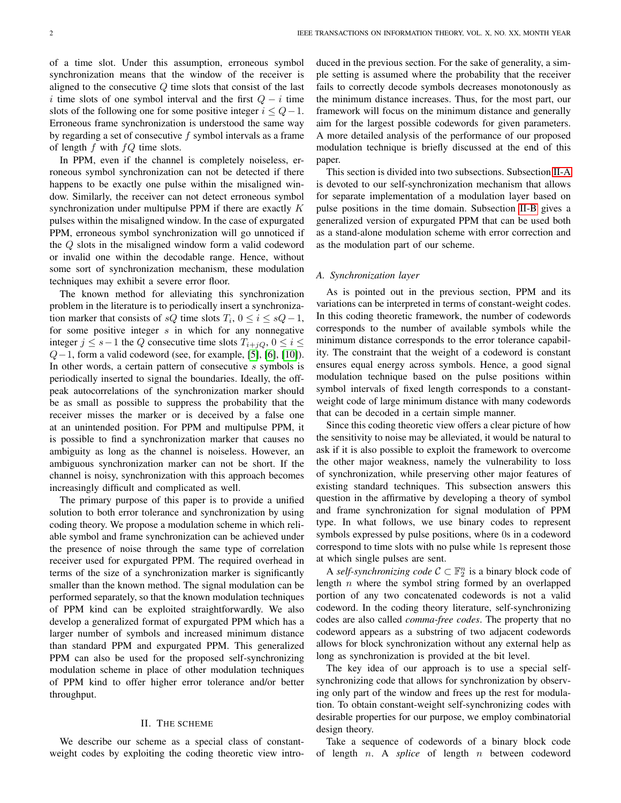of a time slot. Under this assumption, erroneous symbol synchronization means that the window of the receiver is aligned to the consecutive  $Q$  time slots that consist of the last i time slots of one symbol interval and the first  $Q - i$  time slots of the following one for some positive integer  $i \leq Q-1$ . Erroneous frame synchronization is understood the same way by regarding a set of consecutive  $f$  symbol intervals as a frame of length  $f$  with  $fQ$  time slots.

In PPM, even if the channel is completely noiseless, erroneous symbol synchronization can not be detected if there happens to be exactly one pulse within the misaligned window. Similarly, the receiver can not detect erroneous symbol synchronization under multipulse PPM if there are exactly  $K$ pulses within the misaligned window. In the case of expurgated PPM, erroneous symbol synchronization will go unnoticed if the Q slots in the misaligned window form a valid codeword or invalid one within the decodable range. Hence, without some sort of synchronization mechanism, these modulation techniques may exhibit a severe error floor.

The known method for alleviating this synchronization problem in the literature is to periodically insert a synchronization marker that consists of  $sQ$  time slots  $T_i$ ,  $0 \le i \le sQ-1$ , for some positive integer  $s$  in which for any nonnegative integer  $j \leq s-1$  the Q consecutive time slots  $T_{i+jQ}$ ,  $0 \leq i \leq$  $Q-1$ , form a valid codeword (see, for example, [\[5\]](#page-9-4), [\[6\]](#page-9-6), [\[10\]](#page-9-5)). In other words, a certain pattern of consecutive s symbols is periodically inserted to signal the boundaries. Ideally, the offpeak autocorrelations of the synchronization marker should be as small as possible to suppress the probability that the receiver misses the marker or is deceived by a false one at an unintended position. For PPM and multipulse PPM, it is possible to find a synchronization marker that causes no ambiguity as long as the channel is noiseless. However, an ambiguous synchronization marker can not be short. If the channel is noisy, synchronization with this approach becomes increasingly difficult and complicated as well.

The primary purpose of this paper is to provide a unified solution to both error tolerance and synchronization by using coding theory. We propose a modulation scheme in which reliable symbol and frame synchronization can be achieved under the presence of noise through the same type of correlation receiver used for expurgated PPM. The required overhead in terms of the size of a synchronization marker is significantly smaller than the known method. The signal modulation can be performed separately, so that the known modulation techniques of PPM kind can be exploited straightforwardly. We also develop a generalized format of expurgated PPM which has a larger number of symbols and increased minimum distance than standard PPM and expurgated PPM. This generalized PPM can also be used for the proposed self-synchronizing modulation scheme in place of other modulation techniques of PPM kind to offer higher error tolerance and/or better throughput.

## II. THE SCHEME

We describe our scheme as a special class of constantweight codes by exploiting the coding theoretic view introduced in the previous section. For the sake of generality, a simple setting is assumed where the probability that the receiver fails to correctly decode symbols decreases monotonously as the minimum distance increases. Thus, for the most part, our framework will focus on the minimum distance and generally aim for the largest possible codewords for given parameters. A more detailed analysis of the performance of our proposed modulation technique is briefly discussed at the end of this paper.

This section is divided into two subsections. Subsection [II-A](#page-1-0) is devoted to our self-synchronization mechanism that allows for separate implementation of a modulation layer based on pulse positions in the time domain. Subsection [II-B](#page-5-0) gives a generalized version of expurgated PPM that can be used both as a stand-alone modulation scheme with error correction and as the modulation part of our scheme.

## <span id="page-1-0"></span>*A. Synchronization layer*

As is pointed out in the previous section, PPM and its variations can be interpreted in terms of constant-weight codes. In this coding theoretic framework, the number of codewords corresponds to the number of available symbols while the minimum distance corresponds to the error tolerance capability. The constraint that the weight of a codeword is constant ensures equal energy across symbols. Hence, a good signal modulation technique based on the pulse positions within symbol intervals of fixed length corresponds to a constantweight code of large minimum distance with many codewords that can be decoded in a certain simple manner.

Since this coding theoretic view offers a clear picture of how the sensitivity to noise may be alleviated, it would be natural to ask if it is also possible to exploit the framework to overcome the other major weakness, namely the vulnerability to loss of synchronization, while preserving other major features of existing standard techniques. This subsection answers this question in the affirmative by developing a theory of symbol and frame synchronization for signal modulation of PPM type. In what follows, we use binary codes to represent symbols expressed by pulse positions, where 0s in a codeword correspond to time slots with no pulse while 1s represent those at which single pulses are sent.

A *self-synchronizing code*  $C \subset \mathbb{F}_2^n$  is a binary block code of length  $n$  where the symbol string formed by an overlapped portion of any two concatenated codewords is not a valid codeword. In the coding theory literature, self-synchronizing codes are also called *comma-free codes*. The property that no codeword appears as a substring of two adjacent codewords allows for block synchronization without any external help as long as synchronization is provided at the bit level.

The key idea of our approach is to use a special selfsynchronizing code that allows for synchronization by observing only part of the window and frees up the rest for modulation. To obtain constant-weight self-synchronizing codes with desirable properties for our purpose, we employ combinatorial design theory.

Take a sequence of codewords of a binary block code of length n. A *splice* of length n between codeword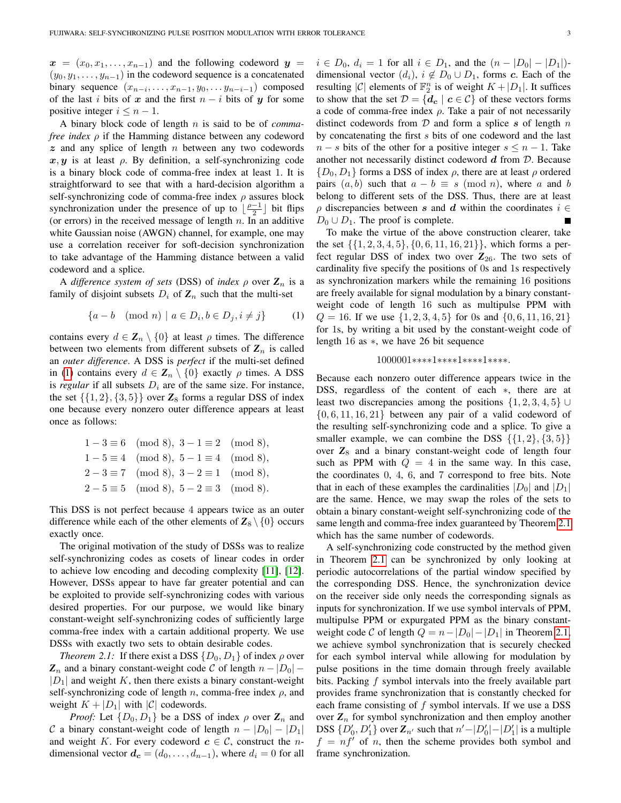$x = (x_0, x_1, \ldots, x_{n-1})$  and the following codeword  $y =$  $(y_0, y_1, \ldots, y_{n-1})$  in the codeword sequence is a concatenated binary sequence  $(x_{n-i},...,x_{n-1},y_0,...y_{n-i-1})$  composed of the last i bits of x and the first  $n - i$  bits of y for some positive integer  $i \leq n-1$ .

A binary block code of length n is said to be of *commafree index* ρ if the Hamming distance between any codeword  $z$  and any splice of length  $n$  between any two codewords  $x, y$  is at least  $\rho$ . By definition, a self-synchronizing code is a binary block code of comma-free index at least 1. It is straightforward to see that with a hard-decision algorithm a self-synchronizing code of comma-free index  $\rho$  assures block synchronization under the presence of up to  $\lfloor \frac{\rho-1}{2} \rfloor$  bit flips (or errors) in the received message of length  $n$ . In an additive white Gaussian noise (AWGN) channel, for example, one may use a correlation receiver for soft-decision synchronization to take advantage of the Hamming distance between a valid codeword and a splice.

A *difference system of sets* (DSS) of *index*  $\rho$  over  $\mathbb{Z}_n$  is a family of disjoint subsets  $D_i$  of  $\mathbb{Z}_n$  such that the multi-set

<span id="page-2-0"></span>
$$
\{a - b \pmod{n} \mid a \in D_i, b \in D_j, i \neq j\} \tag{1}
$$

contains every  $d \in \mathbb{Z}_n \setminus \{0\}$  at least  $\rho$  times. The difference between two elements from different subsets of  $\mathbb{Z}_n$  is called an *outer difference*. A DSS is *perfect* if the multi-set defined in [\(1\)](#page-2-0) contains every  $d \in \mathbb{Z}_n \setminus \{0\}$  exactly  $\rho$  times. A DSS is *regular* if all subsets  $D_i$  are of the same size. For instance, the set  $\{\{1,2\},\{3,5\}\}\$  over  $\mathbb{Z}_8$  forms a regular DSS of index one because every nonzero outer difference appears at least once as follows:

| $1-3 \equiv 6 \pmod{8}, 3-1 \equiv 2 \pmod{8},$ |  |
|-------------------------------------------------|--|
| $1-5 \equiv 4 \pmod{8}, 5-1 \equiv 4 \pmod{8},$ |  |
| $2-3 \equiv 7 \pmod{8}, 3-2 \equiv 1 \pmod{8},$ |  |
| $2-5 \equiv 5 \pmod{8}, 5-2 \equiv 3 \pmod{8}.$ |  |

This DSS is not perfect because 4 appears twice as an outer difference while each of the other elements of  $\mathbb{Z}_8 \setminus \{0\}$  occurs exactly once.

The original motivation of the study of DSSs was to realize self-synchronizing codes as cosets of linear codes in order to achieve low encoding and decoding complexity [\[11\]](#page-9-7), [\[12\]](#page-9-8). However, DSSs appear to have far greater potential and can be exploited to provide self-synchronizing codes with various desired properties. For our purpose, we would like binary constant-weight self-synchronizing codes of sufficiently large comma-free index with a cartain additional property. We use DSSs with exactly two sets to obtain desirable codes.

<span id="page-2-1"></span>*Theorem 2.1:* If there exist a DSS  $\{D_0, D_1\}$  of index  $\rho$  over  $\mathbb{Z}_n$  and a binary constant-weight code C of length  $n - |D_0|$  –  $|D_1|$  and weight K, then there exists a binary constant-weight self-synchronizing code of length n, comma-free index  $\rho$ , and weight  $K + |D_1|$  with  $|C|$  codewords.

*Proof:* Let  $\{D_0, D_1\}$  be a DSS of index  $\rho$  over  $\mathbb{Z}_n$  and C a binary constant-weight code of length  $n - |D_0| - |D_1|$ and weight K. For every codeword  $c \in \mathcal{C}$ , construct the *n*dimensional vector  $d_{\mathbf{c}} = (d_0, \ldots, d_{n-1})$ , where  $d_i = 0$  for all  $i \in D_0$ ,  $d_i = 1$  for all  $i \in D_1$ , and the  $(n - |D_0| - |D_1|)$ dimensional vector  $(d_i)$ ,  $i \notin D_0 \cup D_1$ , forms c. Each of the resulting |C| elements of  $\mathbb{F}_2^n$  is of weight  $K + |D_1|$ . It suffices to show that the set  $\mathcal{D} = \{d_c \mid c \in \mathcal{C}\}\$  of these vectors forms a code of comma-free index  $\rho$ . Take a pair of not necessarily distinct codewords from  $D$  and form a splice  $s$  of length  $n$ by concatenating the first s bits of one codeword and the last  $n - s$  bits of the other for a positive integer  $s \leq n - 1$ . Take another not necessarily distinct codeword  $d$  from  $D$ . Because  $\{D_0, D_1\}$  forms a DSS of index  $\rho$ , there are at least  $\rho$  ordered pairs  $(a, b)$  such that  $a - b \equiv s \pmod{n}$ , where a and b belong to different sets of the DSS. Thus, there are at least  $\rho$  discrepancies between s and d within the coordinates  $i \in$  $D_0 \cup D_1$ . The proof is complete.

To make the virtue of the above construction clearer, take the set  $\{\{1, 2, 3, 4, 5\}, \{0, 6, 11, 16, 21\}\}\,$ , which forms a perfect regular DSS of index two over  $\mathbb{Z}_{26}$ . The two sets of cardinality five specify the positions of 0s and 1s respectively as synchronization markers while the remaining 16 positions are freely available for signal modulation by a binary constantweight code of length 16 such as multipulse PPM with  $Q = 16$ . If we use  $\{1, 2, 3, 4, 5\}$  for 0s and  $\{0, 6, 11, 16, 21\}$ for 1s, by writing a bit used by the constant-weight code of length 16 as ∗, we have 26 bit sequence

## 1000001∗∗∗∗1∗∗∗∗1∗∗∗∗1∗∗∗∗.

Because each nonzero outer difference appears twice in the DSS, regardless of the content of each ∗, there are at least two discrepancies among the positions  $\{1, 2, 3, 4, 5\}$  $\{0, 6, 11, 16, 21\}$  between any pair of a valid codeword of the resulting self-synchronizing code and a splice. To give a smaller example, we can combine the DSS  $\{\{1,2\},\{3,5\}\}\$ over  $Z_8$  and a binary constant-weight code of length four such as PPM with  $Q = 4$  in the same way. In this case, the coordinates 0, 4, 6, and 7 correspond to free bits. Note that in each of these examples the cardinalities  $|D_0|$  and  $|D_1|$ are the same. Hence, we may swap the roles of the sets to obtain a binary constant-weight self-synchronizing code of the same length and comma-free index guaranteed by Theorem [2.1](#page-2-1) which has the same number of codewords.

A self-synchronizing code constructed by the method given in Theorem [2.1](#page-2-1) can be synchronized by only looking at periodic autocorrelations of the partial window specified by the corresponding DSS. Hence, the synchronization device on the receiver side only needs the corresponding signals as inputs for synchronization. If we use symbol intervals of PPM, multipulse PPM or expurgated PPM as the binary constantweight code C of length  $Q = n - |D_0| - |D_1|$  in Theorem [2.1,](#page-2-1) we achieve symbol synchronization that is securely checked for each symbol interval while allowing for modulation by pulse positions in the time domain through freely available bits. Packing f symbol intervals into the freely available part provides frame synchronization that is constantly checked for each frame consisting of  $f$  symbol intervals. If we use a DSS over  $\mathbb{Z}_n$  for symbol synchronization and then employ another DSS  $\{D'_0, D'_1\}$  over  $\mathbb{Z}_{n'}$  such that  $n' - |D'_0| - |D'_1|$  is a multiple  $f = nf'$  of n, then the scheme provides both symbol and frame synchronization.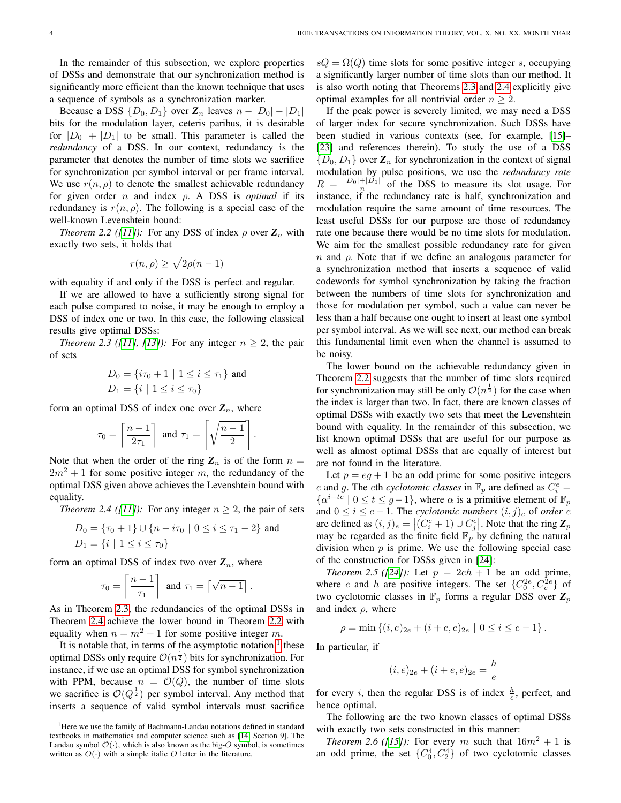In the remainder of this subsection, we explore properties of DSSs and demonstrate that our synchronization method is significantly more efficient than the known technique that uses a sequence of symbols as a synchronization marker.

Because a DSS  $\{D_0, D_1\}$  over  $\mathbb{Z}_n$  leaves  $n - |D_0| - |D_1|$ bits for the modulation layer, ceteris paribus, it is desirable for  $|D_0| + |D_1|$  to be small. This parameter is called the *redundancy* of a DSS. In our context, redundancy is the parameter that denotes the number of time slots we sacrifice for synchronization per symbol interval or per frame interval. We use  $r(n, \rho)$  to denote the smallest achievable redundancy for given order  $n$  and index  $\rho$ . A DSS is *optimal* if its redundancy is  $r(n, \rho)$ . The following is a special case of the well-known Levenshtein bound:

<span id="page-3-2"></span>*Theorem 2.2 ([\[11\]](#page-9-7)):* For any DSS of index  $\rho$  over  $\mathbb{Z}_n$  with exactly two sets, it holds that

$$
r(n,\rho) \ge \sqrt{2\rho(n-1)}
$$

with equality if and only if the DSS is perfect and regular.

If we are allowed to have a sufficiently strong signal for each pulse compared to noise, it may be enough to employ a DSS of index one or two. In this case, the following classical results give optimal DSSs:

<span id="page-3-0"></span>*Theorem 2.3 ([\[11\]](#page-9-7)*, *[\[13\]](#page-9-9))*: For any integer  $n \geq 2$ , the pair of sets

$$
D_0 = \{ i\tau_0 + 1 \mid 1 \le i \le \tau_1 \}
$$
 and  

$$
D_1 = \{ i \mid 1 \le i \le \tau_0 \}
$$

form an optimal DSS of index one over  $\mathbb{Z}_n$ , where

$$
\tau_0 = \left\lceil \frac{n-1}{2\tau_1} \right\rceil \text{ and } \tau_1 = \left\lceil \sqrt{\frac{n-1}{2}} \right\rceil.
$$

Note that when the order of the ring  $\mathbb{Z}_n$  is of the form  $n =$  $2m^2 + 1$  for some positive integer m, the redundancy of the optimal DSS given above achieves the Levenshtein bound with equality.

<span id="page-3-1"></span>*Theorem 2.4 ([\[11\]](#page-9-7))*: For any integer  $n \geq 2$ , the pair of sets

$$
D_0 = \{\tau_0 + 1\} \cup \{n - i\tau_0 \mid 0 \le i \le \tau_1 - 2\}
$$
 and  

$$
D_1 = \{i \mid 1 \le i \le \tau_0\}
$$

form an optimal DSS of index two over  $\mathbf{Z}_n$ , where

$$
\tau_0 = \left\lceil \frac{n-1}{\tau_1} \right\rceil \text{ and } \tau_1 = \left\lceil \sqrt{n-1} \right\rceil.
$$

As in Theorem [2.3,](#page-3-0) the redundancies of the optimal DSSs in Theorem [2.4](#page-3-1) achieve the lower bound in Theorem [2.2](#page-3-2) with equality when  $n = m^2 + 1$  for some positive integer m.

It is notable that, in terms of the asymptotic notation, $<sup>1</sup>$  $<sup>1</sup>$  $<sup>1</sup>$  these</sup> optimal DSSs only require  $\mathcal{O}(n^{\frac{1}{2}})$  bits for synchronization. For instance, if we use an optimal DSS for symbol synchronization with PPM, because  $n = \mathcal{O}(Q)$ , the number of time slots we sacrifice is  $\mathcal{O}(Q^{\frac{1}{2}})$  per symbol interval. Any method that inserts a sequence of valid symbol intervals must sacrifice  $sQ = \Omega(Q)$  time slots for some positive integer s, occupying a significantly larger number of time slots than our method. It is also worth noting that Theorems [2.3](#page-3-0) and [2.4](#page-3-1) explicitly give optimal examples for all nontrivial order  $n \geq 2$ .

If the peak power is severely limited, we may need a DSS of larger index for secure synchronization. Such DSSs have been studied in various contexts (see, for example, [\[15\]](#page-9-11)– [\[23\]](#page-10-0) and references therein). To study the use of a DSS  ${D_0, D_1}$  over  $\mathbb{Z}_n$  for synchronization in the context of signal modulation by pulse positions, we use the *redundancy rate*  $R = \frac{|D_0|+|D_1|}{n}$  of the DSS to measure its slot usage. For instance, if the redundancy rate is half, synchronization and modulation require the same amount of time resources. The least useful DSSs for our purpose are those of redundancy rate one because there would be no time slots for modulation. We aim for the smallest possible redundancy rate for given n and  $\rho$ . Note that if we define an analogous parameter for a synchronization method that inserts a sequence of valid codewords for symbol synchronization by taking the fraction between the numbers of time slots for synchronization and those for modulation per symbol, such a value can never be less than a half because one ought to insert at least one symbol per symbol interval. As we will see next, our method can break this fundamental limit even when the channel is assumed to be noisy.

The lower bound on the achievable redundancy given in Theorem [2.2](#page-3-2) suggests that the number of time slots required for synchronization may still be only  $\mathcal{O}(n^{\frac{1}{2}})$  for the case when the index is larger than two. In fact, there are known classes of optimal DSSs with exactly two sets that meet the Levenshtein bound with equality. In the remainder of this subsection, we list known optimal DSSs that are useful for our purpose as well as almost optimal DSSs that are equally of interest but are not found in the literature.

Let  $p = eq + 1$  be an odd prime for some positive integers e and g. The eth *cyclotomic classes* in  $\mathbb{F}_p$  are defined as  $C_i^e$  =  $\{\alpha^{i+te} \mid 0 \le t \le g-1\}$ , where  $\alpha$  is a primitive element of  $\mathbb{F}_p$ and  $0 \le i \le e-1$ . The *cyclotomic numbers*  $(i, j)_e$  of *order e* are defined as  $(i, j)_e = |(C_i^e + 1) \cup C_j^e|$ . Note that the ring  $\mathbb{Z}_p$ may be regarded as the finite field  $\mathbb{F}_p$  by defining the natural division when  $p$  is prime. We use the following special case of the construction for DSSs given in [\[24\]](#page-10-1):

<span id="page-3-5"></span>*Theorem 2.5 ([\[24\]](#page-10-1)):* Let  $p = 2eh + 1$  be an odd prime, where e and h are positive integers. The set  $\{C_0^{2e}, C_e^{2e}\}$  of two cyclotomic classes in  $\mathbb{F}_p$  forms a regular DSS over  $\mathbb{Z}_p$ and index  $\rho$ , where

$$
\rho = \min \left\{ (i, e)_{2e} + (i + e, e)_{2e} \mid 0 \le i \le e - 1 \right\}.
$$

In particular, if

<span id="page-3-4"></span>
$$
(i, e)_{2e} + (i + e, e)_{2e} = \frac{h}{e}
$$

for every *i*, then the regular DSS is of index  $\frac{h}{e}$ , perfect, and hence optimal.

The following are the two known classes of optimal DSSs with exactly two sets constructed in this manner:

*Theorem 2.6 ([\[15\]](#page-9-11)*): For every m such that  $16m^2 + 1$  is an odd prime, the set  ${C_0^4, C_2^4}$  of two cyclotomic classes

<span id="page-3-3"></span><sup>&</sup>lt;sup>1</sup>Here we use the family of Bachmann-Landau notations defined in standard textbooks in mathematics and computer science such as [\[14,](#page-9-10) Section 9]. The Landau symbol  $\mathcal{O}(\cdot)$ , which is also known as the big-O symbol, is sometimes written as  $O(\cdot)$  with a simple italic O letter in the literature.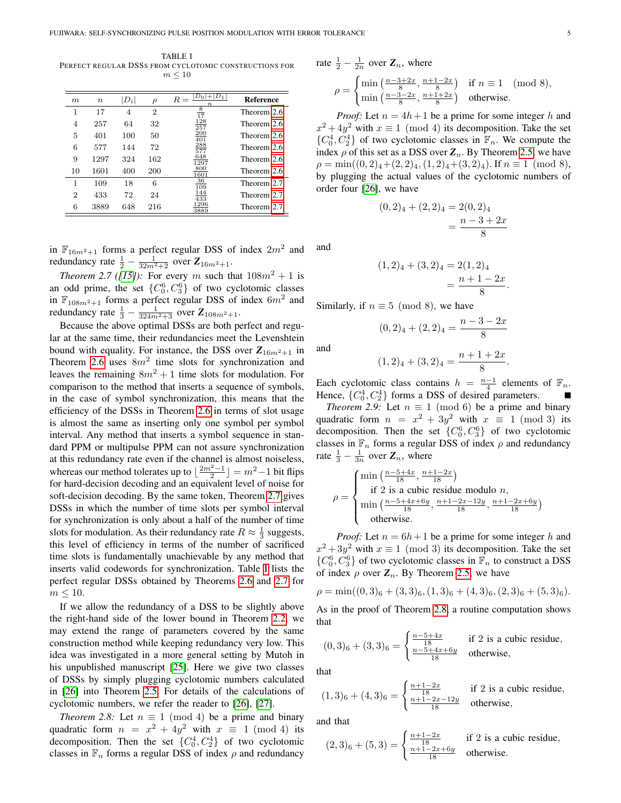<span id="page-4-1"></span>TABLE I PERFECT REGULAR DSSS FROM CYCLOTOMIC CONSTRUCTIONS FOR  $m \leq 10$ 

| m  | $\boldsymbol{n}$ | $ D_i $ | $\rho$         | $D_0$<br>$R =$<br>$\overline{n}$ | <b>Reference</b> |
|----|------------------|---------|----------------|----------------------------------|------------------|
| 1  | 17               | 4       | $\overline{2}$ | 8<br>17                          | Theorem 2.6      |
| 4  | 257              | 64      | 32             | 128<br>$\overline{257}$          | Theorem 2.6      |
| 5  | 401              | 100     | 50             | 200<br>401                       | Theorem 2.6      |
| 6  | 577              | 144     | 72             | 288<br>577                       | Theorem 2.6      |
| 9  | 1297             | 324     | 162            | 648<br>1297                      | Theorem 2.6      |
| 10 | 1601             | 400     | 200            | 800<br>1601                      | Theorem 2.6      |
| 1  | 109              | 18      | 6              | 36<br>109                        | Theorem 2.7      |
| 2  | 433              | 72      | 24             | 144<br>433                       | Theorem 2.7      |
| 6  | 3889             | 648     | 216            | 1296<br>3889                     | Theorem 2.7      |

in  $\mathbb{F}_{16m^2+1}$  forms a perfect regular DSS of index  $2m^2$  and redundancy rate  $\frac{1}{2} - \frac{1}{32m^2+2}$  over  $\mathbb{Z}_{16m^2+1}$ .

<span id="page-4-0"></span>*Theorem 2.7 ([\[15\]](#page-9-11)):* For every m such that  $108m^2 + 1$  is an odd prime, the set  ${C_0^6, C_3^6}$  of two cyclotomic classes in  $\mathbb{F}_{108m^2+1}$  forms a perfect regular DSS of index  $6m^2$  and redundancy rate  $\frac{1}{3} - \frac{1}{324m^2+3}$  over  $\mathbb{Z}_{108m^2+1}$ .

Because the above optimal DSSs are both perfect and regular at the same time, their redundancies meet the Levenshtein bound with equality. For instance, the DSS over  $\mathbb{Z}_{16m^2+1}$  in Theorem [2.6](#page-3-4) uses  $8m^2$  time slots for synchronization and leaves the remaining  $8m^2 + 1$  time slots for modulation. For comparison to the method that inserts a sequence of symbols, in the case of symbol synchronization, this means that the efficiency of the DSSs in Theorem [2.6](#page-3-4) in terms of slot usage is almost the same as inserting only one symbol per symbol interval. Any method that inserts a symbol sequence in standard PPM or multipulse PPM can not assure synchronization at this redundancy rate even if the channel is almost noiseless, whereas our method tolerates up to  $\lfloor \frac{2m^2-1}{2} \rfloor = m^2-1$  bit flips for hard-decision decoding and an equivalent level of noise for soft-decision decoding. By the same token, Theorem [2.7](#page-4-0) gives DSSs in which the number of time slots per symbol interval for synchronization is only about a half of the number of time slots for modulation. As their redundancy rate  $R \approx \frac{1}{3}$  suggests, this level of efficiency in terms of the number of sacrificed time slots is fundamentally unachievable by any method that inserts valid codewords for synchronization. Table [I](#page-4-1) lists the perfect regular DSSs obtained by Theorems [2.6](#page-3-4) and [2.7](#page-4-0) for  $m \leq 10$ .

If we allow the redundancy of a DSS to be slightly above the right-hand side of the lower bound in Theorem [2.2,](#page-3-2) we may extend the range of parameters covered by the same construction method while keeping redundancy very low. This idea was investigated in a more general setting by Mutoh in his unpublished manuscript [\[25\]](#page-10-2). Here we give two classes of DSSs by simply plugging cyclotomic numbers calculated in [\[26\]](#page-10-3) into Theorem [2.5.](#page-3-5) For details of the calculations of cyclotomic numbers, we refer the reader to [\[26\]](#page-10-3), [\[27\]](#page-10-4).

*Theorem 2.8:* Let  $n \equiv 1 \pmod{4}$  be a prime and binary quadratic form  $n = x^2 + 4y^2$  with  $x \equiv 1 \pmod{4}$  its decomposition. Then the set  $\{C_0^4, C_2^4\}$  of two cyclotomic classes in  $\mathbb{F}_n$  forms a regular DSS of index  $\rho$  and redundancy

rate 
$$
\frac{1}{2} - \frac{1}{2n}
$$
 over  $\mathbb{Z}_n$ , where  
\n
$$
\int \min\left(\frac{n-3+2x}{8}, \frac{n+1-2x}{8}\right) \text{ if } n
$$

$$
\rho = \begin{cases} \min\left(\frac{n-3+2x}{8}, \frac{n+1-2x}{8}\right) & \text{if } n \equiv 1 \pmod{8}, \\ \min\left(\frac{n-3-2x}{8}, \frac{n+1+2x}{8}\right) & \text{otherwise.} \end{cases}
$$

*Proof:* Let  $n = 4h + 1$  be a prime for some integer h and  $x^2 + 4y^2$  with  $x \equiv 1 \pmod{4}$  its decomposition. Take the set  $\{C_0^4, C_2^4\}$  of two cyclotomic classes in  $\mathbb{F}_n$ . We compute the index  $\rho$  of this set as a DSS over  $\mathbb{Z}_n$ . By Theorem [2.5,](#page-3-5) we have  $\rho = \min((0, 2)_{4} + (2, 2)_{4}, (1, 2)_{4} + (3, 2)_{4})$ . If  $n \equiv 1 \pmod{8}$ , by plugging the actual values of the cyclotomic numbers of order four [\[26\]](#page-10-3), we have

$$
(0,2)4 + (2,2)4 = 2(0,2)4 = \frac{n-3+2x}{8}
$$

$$
(1,2)4 + (3,2)4 = 2(1,2)4 = \frac{n+1-2x}{8}.
$$

Similarly, if  $n \equiv 5 \pmod{8}$ , we have

and

and

$$
(1,2)4 + (3,2)4 = \frac{n+1+2x}{8}.
$$

 $(0,2)_4 + (2,2)_4 = \frac{n-3-2x}{8}$ 

8

Each cyclotomic class contains  $h = \frac{n-1}{4}$  elements of  $\mathbb{F}_n$ . Hence,  $\{C_0^4, C_2^4\}$  forms a DSS of desired parameters.

*Theorem 2.9:* Let  $n \equiv 1 \pmod{6}$  be a prime and binary quadratic form  $n = x^2 + 3y^2$  with  $x \equiv 1 \pmod{3}$  its decomposition. Then the set  ${C_0^6, C_3^6}$  of two cyclotomic classes in  $\mathbb{F}_n$  forms a regular DSS of index  $\rho$  and redundancy rate  $\frac{1}{3} - \frac{1}{3n}$  over  $\mathbb{Z}_n$ , where

$$
\rho = \begin{cases} \min\left(\frac{n-5+4x}{18}, \frac{n+1-2x}{18}\right) \\ \text{if } 2 \text{ is a cubic residue modulo } n, \\ \min\left(\frac{n-5+4x+6y}{18}, \frac{n+1-2x-12y}{18}, \frac{n+1-2x+6y}{18}\right) \\ \text{otherwise.} \end{cases}
$$

*Proof:* Let  $n = 6h + 1$  be a prime for some integer h and  $x^2 + 3y^2$  with  $x \equiv 1 \pmod{3}$  its decomposition. Take the set  ${C_0^6, C_3^6}$  of two cyclotomic classes in  $\mathbb{F}_n$  to construct a DSS of index  $\rho$  over  $\mathbb{Z}_n$ . By Theorem [2.5,](#page-3-5) we have

$$
\rho = \min((0,3)_6 + (3,3)_6, (1,3)_6 + (4,3)_6, (2,3)_6 + (5,3)_6).
$$

As in the proof of Theorem [2.8,](#page-4-2) a routine computation shows that

$$
(0,3)_6 + (3,3)_6 = \begin{cases} \frac{n-5+4x}{18} & \text{if } 2 \text{ is a cubic residue,} \\ \frac{n-5+4x+6y}{18} & \text{otherwise,} \end{cases}
$$

that

$$
(1,3)_6 + (4,3)_6 = \begin{cases} \frac{n+1-2x}{18} & \text{if } 2 \text{ is a cubic residue,} \\ \frac{n+1-2x-12y}{18} & \text{otherwise,} \end{cases}
$$

<span id="page-4-2"></span>and that

$$
(2, 3)_6 + (5, 3) =
$$
\n
$$
\begin{cases}\n\frac{n+1-2x}{18} & \text{if } 2 \text{ is a cubic residue,} \\
\frac{n+1-2x+6y}{18} & \text{otherwise.} \n\end{cases}
$$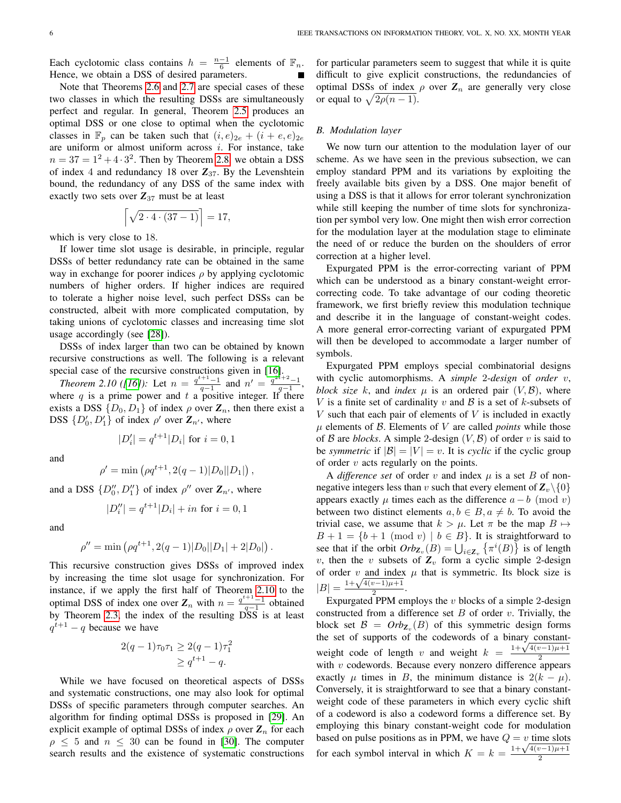Each cyclotomic class contains  $h = \frac{n-1}{6}$  elements of  $\mathbb{F}_n$ . Hence, we obtain a DSS of desired parameters.

Note that Theorems [2.6](#page-3-4) and [2.7](#page-4-0) are special cases of these two classes in which the resulting DSSs are simultaneously perfect and regular. In general, Theorem [2.5](#page-3-5) produces an optimal DSS or one close to optimal when the cyclotomic classes in  $\mathbb{F}_n$  can be taken such that  $(i, e)_{2e} + (i + e, e)_{2e}$ are uniform or almost uniform across  $i$ . For instance, take  $n = 37 = 1^2 + 4 \cdot 3^2$ . Then by Theorem [2.8,](#page-4-2) we obtain a DSS of index 4 and redundancy 18 over  $\mathbb{Z}_{37}$ . By the Levenshtein bound, the redundancy of any DSS of the same index with exactly two sets over  $\mathbb{Z}_{37}$  must be at least

$$
\left\lceil \sqrt{2 \cdot 4 \cdot (37 - 1)} \right\rceil = 17,
$$

which is very close to 18.

If lower time slot usage is desirable, in principle, regular DSSs of better redundancy rate can be obtained in the same way in exchange for poorer indices  $\rho$  by applying cyclotomic numbers of higher orders. If higher indices are required to tolerate a higher noise level, such perfect DSSs can be constructed, albeit with more complicated computation, by taking unions of cyclotomic classes and increasing time slot usage accordingly (see [\[28\]](#page-10-5)).

DSSs of index larger than two can be obtained by known recursive constructions as well. The following is a relevant special case of the recursive constructions given in [\[16\]](#page-9-12).

*Theorem 2.10 ([\[16\]](#page-9-12))*: Let  $n = \frac{q^{t+1}-1}{q-1}$  and  $n' = \frac{q^{2t+2}-1}{q-1}$ , where  $q$  is a prime power and  $t$  a positive integer. If there exists a DSS  $\{D_0, D_1\}$  of index  $\rho$  over  $\mathbb{Z}_n$ , then there exist a DSS  $\{D'_0, D'_1\}$  of index  $\rho'$  over  $\mathbb{Z}_{n'}$ , where

and

$$
|D_i'| = q^{t+1} |D_i| \text{ for } i = 0, 1
$$

$$
\rho' = \min\left(\rho q^{t+1}, 2(q-1)|D_0||D_1|\right)
$$

,

and a DSS  $\{D_0'', D_1''\}$  of index  $\rho''$  over  $\mathbb{Z}_{n'}$ , where

$$
|D_i''| = q^{t+1}|D_i| + in \text{ for } i = 0, 1
$$

and

$$
\rho'' = \min \left( \rho q^{t+1}, 2(q-1)|D_0||D_1| + 2|D_0| \right).
$$

This recursive construction gives DSSs of improved index by increasing the time slot usage for synchronization. For instance, if we apply the first half of Theorem [2.10](#page-5-1) to the optimal DSS of index one over  $\mathbf{Z}_n$  with  $n = \frac{q^{t+1}-1}{q-1}$  obtained by Theorem [2.3,](#page-3-0) the index of the resulting DSS is at least  $q^{t+1} - q$  because we have

$$
2(q-1)\tau_0\tau_1 \ge 2(q-1)\tau_1^2
$$
  

$$
\ge q^{t+1} - q.
$$

While we have focused on theoretical aspects of DSSs and systematic constructions, one may also look for optimal DSSs of specific parameters through computer searches. An algorithm for finding optimal DSSs is proposed in [\[29\]](#page-10-6). An explicit example of optimal DSSs of index  $\rho$  over  $\mathbb{Z}_n$  for each  $\rho \leq 5$  and  $n \leq 30$  can be found in [\[30\]](#page-10-7). The computer search results and the existence of systematic constructions for particular parameters seem to suggest that while it is quite difficult to give explicit constructions, the redundancies of optimal DSSs of index  $\rho$  over  $\mathbb{Z}_n$  are generally very close or equal to  $\sqrt{2\rho(n-1)}$ .

#### <span id="page-5-0"></span>*B. Modulation layer*

We now turn our attention to the modulation layer of our scheme. As we have seen in the previous subsection, we can employ standard PPM and its variations by exploiting the freely available bits given by a DSS. One major benefit of using a DSS is that it allows for error tolerant synchronization while still keeping the number of time slots for synchronization per symbol very low. One might then wish error correction for the modulation layer at the modulation stage to eliminate the need of or reduce the burden on the shoulders of error correction at a higher level.

Expurgated PPM is the error-correcting variant of PPM which can be understood as a binary constant-weight errorcorrecting code. To take advantage of our coding theoretic framework, we first briefly review this modulation technique and describe it in the language of constant-weight codes. A more general error-correcting variant of expurgated PPM will then be developed to accommodate a larger number of symbols.

<span id="page-5-1"></span>Expurgated PPM employs special combinatorial designs with cyclic automorphisms. A *simple* 2-*design* of *order* v, *block size* k, and *index*  $\mu$  is an ordered pair  $(V, \mathcal{B})$ , where V is a finite set of cardinality v and  $\beta$  is a set of k-subsets of V such that each pair of elements of V is included in exactly  $\mu$  elements of  $\beta$ . Elements of V are called *points* while those of  $\beta$  are *blocks*. A simple 2-design  $(V, \beta)$  of order v is said to be *symmetric* if  $|\mathcal{B}| = |V| = v$ . It is *cyclic* if the cyclic group of order  $v$  acts regularly on the points.

A *difference set* of order v and index  $\mu$  is a set B of nonnegative integers less than v such that every element of  $\mathbb{Z}_{v}\backslash\{0\}$ appears exactly  $\mu$  times each as the difference  $a - b \pmod{v}$ between two distinct elements  $a, b \in B$ ,  $a \neq b$ . To avoid the trivial case, we assume that  $k > \mu$ . Let  $\pi$  be the map  $B \mapsto$  $B + 1 = \{b + 1 \pmod{v} \mid b \in B\}$ . It is straightforward to see that if the orbit  $Orb_{\mathbf{Z}_v}(B) = \bigcup_{i \in \mathbf{Z}_v} \{ \pi^i(B) \}$  is of length v, then the v subsets of  $Z_v$  form a cyclic simple 2-design of order  $v$  and index  $\mu$  that is symmetric. Its block size is of order v and index<br> $|B| = \frac{1 + \sqrt{4(v-1)\mu + 1}}{2}$ 2 .

Expurgated PPM employs the  $v$  blocks of a simple 2-design constructed from a difference set  $B$  of order  $v$ . Trivially, the block set  $\mathcal{B} = Orb_{\mathbf{Z}_v}(B)$  of this symmetric design forms the set of supports of the codewords of a binary constantthe set of supports of the codewords of a binary constant-<br>weight code of length v and weight  $k = \frac{1+\sqrt{4(v-1)\mu+1}}{2}$ 2 with  $v$  codewords. Because every nonzero difference appears exactly  $\mu$  times in B, the minimum distance is  $2(k - \mu)$ . Conversely, it is straightforward to see that a binary constantweight code of these parameters in which every cyclic shift of a codeword is also a codeword forms a difference set. By employing this binary constant-weight code for modulation based on pulse positions as in PPM, we have  $Q = v$  time slots based on pulse positions as in PPM, we have  $Q = v$  time slots<br>for each symbol interval in which  $K = k = \frac{1 + \sqrt{4(v-1)\mu + 1}}{2}$ 2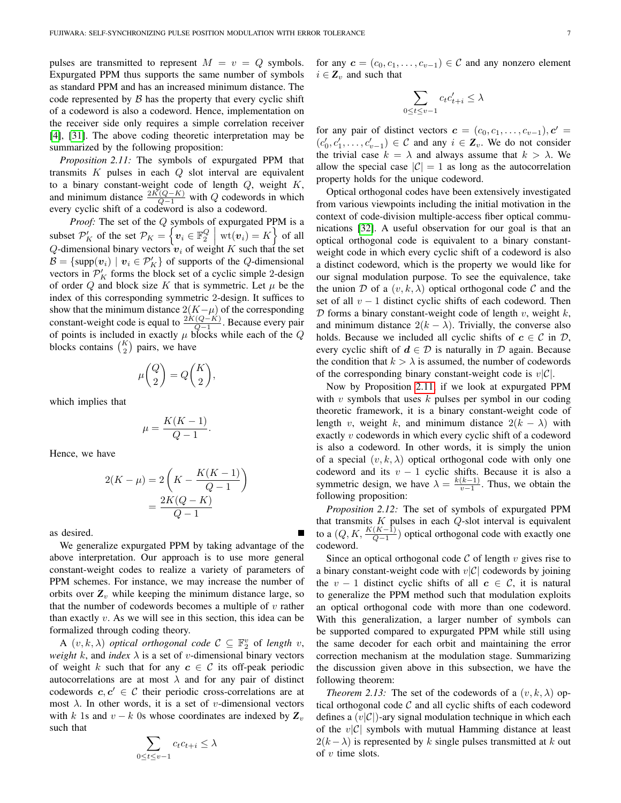pulses are transmitted to represent  $M = v = Q$  symbols. Expurgated PPM thus supports the same number of symbols as standard PPM and has an increased minimum distance. The code represented by  $\beta$  has the property that every cyclic shift of a codeword is also a codeword. Hence, implementation on the receiver side only requires a simple correlation receiver [\[4\]](#page-9-3), [\[31\]](#page-10-8). The above coding theoretic interpretation may be summarized by the following proposition:

*Proposition 2.11:* The symbols of expurgated PPM that transmits  $K$  pulses in each  $Q$  slot interval are equivalent to a binary constant-weight code of length  $Q$ , weight  $K$ , and minimum distance  $\frac{2K(Q-K)}{Q-1}$  with Q codewords in which every cyclic shift of a codeword is also a codeword.

*Proof:* The set of the Q symbols of expurgated PPM is a subset  $\mathcal{P}_K'$  of the set  $\mathcal{P}_K = \left\{ v_i \in \mathbb{F}_2^Q \mid \text{wt}(v_i) = K \right\}$  of all  $\Omega$  dimensional binary vectors  $v_i$ , of work in K such that the set Q-dimensional binary vectors  $v_i$  of weight K such that the set  $\mathcal{B} = \{\text{supp}(\boldsymbol{v}_i) \mid \boldsymbol{v}_i \in \mathcal{P}_K'\}$  of supports of the Q-dimensional vectors in  $\mathcal{P}'_K$  forms the block set of a cyclic simple 2-design of order Q and block size K that is symmetric. Let  $\mu$  be the index of this corresponding symmetric 2-design. It suffices to show that the minimum distance  $2(K-\mu)$  of the corresponding constant-weight code is equal to  $\frac{2K(Q-K)}{Q-1}$ . Because every pair of points is included in exactly  $\mu$  blocks while each of the  $Q$ blocks contains  $\binom{K}{2}$  pairs, we have

$$
\mu \binom{Q}{2} = Q \binom{K}{2},
$$

which implies that

$$
\mu = \frac{K(K-1)}{Q-1}.
$$

Hence, we have

$$
2(K - \mu) = 2\left(K - \frac{K(K - 1)}{Q - 1}\right)
$$

$$
= \frac{2K(Q - K)}{Q - 1}
$$

as desired.

We generalize expurgated PPM by taking advantage of the above interpretation. Our approach is to use more general constant-weight codes to realize a variety of parameters of PPM schemes. For instance, we may increase the number of orbits over  $Z_v$  while keeping the minimum distance large, so that the number of codewords becomes a multiple of  $v$  rather than exactly  $v$ . As we will see in this section, this idea can be formalized through coding theory.

A  $(v, k, \lambda)$  *optical orthogonal code*  $C \subseteq \mathbb{F}_2^v$  of *length* v, *weight* k, and *index*  $\lambda$  is a set of v-dimensional binary vectors of weight k such that for any  $c \in C$  its off-peak periodic autocorrelations are at most  $\lambda$  and for any pair of distinct codewords  $c, c' \in \mathcal{C}$  their periodic cross-correlations are at most  $\lambda$ . In other words, it is a set of v-dimensional vectors with k 1s and  $v - k$  0s whose coordinates are indexed by  $\mathbf{Z}_v$ such that

$$
\sum_{0 \le t \le v-1} c_t c_{t+i} \le \lambda
$$

for any  $c = (c_0, c_1, \ldots, c_{v-1}) \in \mathcal{C}$  and any nonzero element  $i \in \mathbf{Z}_v$  and such that

$$
\sum_{0 \le t \le v-1} c_t c'_{t+i} \le \lambda
$$

<span id="page-6-0"></span>for any pair of distinct vectors  $\mathbf{c} = (c_0, c_1, \dots, c_{v-1}), \mathbf{c}' =$  $(c'_0, c'_1, \ldots, c'_{v-1}) \in \mathcal{C}$  and any  $i \in \mathbb{Z}_v$ . We do not consider the trivial case  $k = \lambda$  and always assume that  $k > \lambda$ . We allow the special case  $|\mathcal{C}| = 1$  as long as the autocorrelation property holds for the unique codeword.

Optical orthogonal codes have been extensively investigated from various viewpoints including the initial motivation in the context of code-division multiple-access fiber optical communications [\[32\]](#page-10-9). A useful observation for our goal is that an optical orthogonal code is equivalent to a binary constantweight code in which every cyclic shift of a codeword is also a distinct codeword, which is the property we would like for our signal modulation purpose. To see the equivalence, take the union D of a  $(v, k, \lambda)$  optical orthogonal code C and the set of all  $v - 1$  distinct cyclic shifts of each codeword. Then  $D$  forms a binary constant-weight code of length  $v$ , weight  $k$ , and minimum distance  $2(k - \lambda)$ . Trivially, the converse also holds. Because we included all cyclic shifts of  $c \in C$  in  $D$ , every cyclic shift of  $d \in \mathcal{D}$  is naturally in  $\mathcal D$  again. Because the condition that  $k > \lambda$  is assumed, the number of codewords of the corresponding binary constant-weight code is  $v|\mathcal{C}|$ .

Now by Proposition [2.11,](#page-6-0) if we look at expurgated PPM with v symbols that uses  $k$  pulses per symbol in our coding theoretic framework, it is a binary constant-weight code of length v, weight k, and minimum distance  $2(k - \lambda)$  with exactly v codewords in which every cyclic shift of a codeword is also a codeword. In other words, it is simply the union of a special  $(v, k, \lambda)$  optical orthogonal code with only one codeword and its  $v - 1$  cyclic shifts. Because it is also a symmetric design, we have  $\lambda = \frac{k(k-1)}{n-1}$  $\frac{(k-1)}{v-1}$ . Thus, we obtain the following proposition:

*Proposition 2.12:* The set of symbols of expurgated PPM that transmits  $K$  pulses in each  $Q$ -slot interval is equivalent to a  $(Q, K, \frac{K(K-1)}{Q-1})$  optical orthogonal code with exactly one codeword.

Since an optical orthogonal code  $\mathcal C$  of length  $v$  gives rise to a binary constant-weight code with  $v|\mathcal{C}|$  codewords by joining the  $v - 1$  distinct cyclic shifts of all  $c \in C$ , it is natural to generalize the PPM method such that modulation exploits an optical orthogonal code with more than one codeword. With this generalization, a larger number of symbols can be supported compared to expurgated PPM while still using the same decoder for each orbit and maintaining the error correction mechanism at the modulation stage. Summarizing the discussion given above in this subsection, we have the following theorem:

*Theorem 2.13:* The set of the codewords of a  $(v, k, \lambda)$  optical orthogonal code  $\mathcal C$  and all cyclic shifts of each codeword defines a  $(v|\mathcal{C}|)$ -ary signal modulation technique in which each of the  $v|\mathcal{C}|$  symbols with mutual Hamming distance at least  $2(k - \lambda)$  is represented by k single pulses transmitted at k out of  $v$  time slots.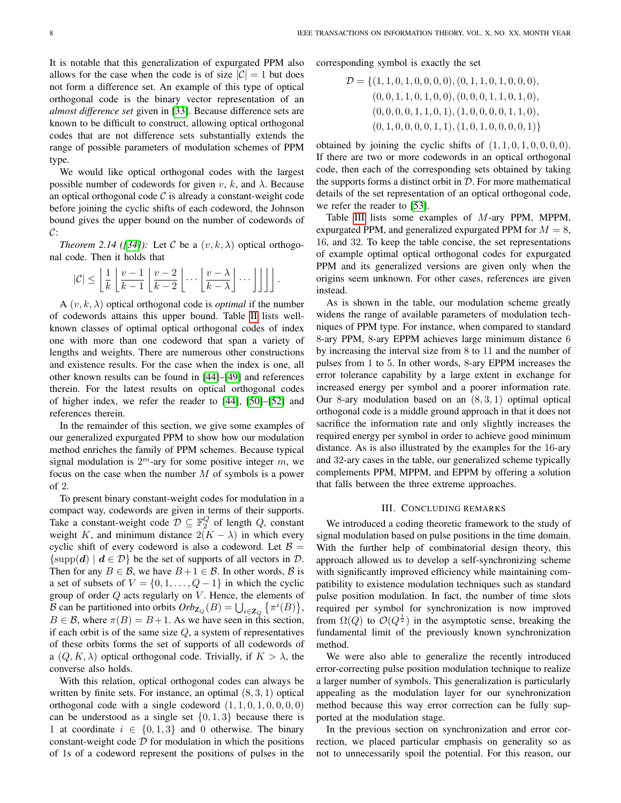It is notable that this generalization of expurgated PPM also allows for the case when the code is of size  $|\mathcal{C}| = 1$  but does not form a difference set. An example of this type of optical orthogonal code is the binary vector representation of an *almost difference set* given in [\[33\]](#page-10-10). Because difference sets are known to be difficult to construct, allowing optical orthogonal codes that are not difference sets substantially extends the range of possible parameters of modulation schemes of PPM type.

We would like optical orthogonal codes with the largest possible number of codewords for given v, k, and  $\lambda$ . Because an optical orthogonal code  $\mathcal C$  is already a constant-weight code before joining the cyclic shifts of each codeword, the Johnson bound gives the upper bound on the number of codewords of  $\mathcal{C}$ :

*Theorem 2.14 (* $[34]$ *)*: Let C be a  $(v, k, \lambda)$  optical orthogonal code. Then it holds that

$$
|\mathcal{C}| \leq \left\lfloor \frac{1}{k} \left\lfloor \frac{v-1}{k-1} \left\lfloor \frac{v-2}{k-2} \left\lfloor \cdots \left\lfloor \frac{v-\lambda}{k-\lambda} \right\rfloor \cdots \right\rfloor \right\rfloor \right\rfloor \right\rfloor.
$$

A  $(v, k, \lambda)$  optical orthogonal code is *optimal* if the number of codewords attains this upper bound. Table [II](#page-8-0) lists wellknown classes of optimal optical orthogonal codes of index one with more than one codeword that span a variety of lengths and weights. There are numerous other constructions and existence results. For the case when the index is one, all other known results can be found in [\[44\]](#page-10-12)–[\[49\]](#page-10-13) and references therein. For the latest results on optical orthogonal codes of higher index, we refer the reader to [\[44\]](#page-10-12), [\[50\]](#page-10-14)–[\[52\]](#page-10-15) and references therein.

In the remainder of this section, we give some examples of our generalized expurgated PPM to show how our modulation method enriches the family of PPM schemes. Because typical signal modulation is  $2^m$ -ary for some positive integer m, we focus on the case when the number M of symbols is a power of 2.

To present binary constant-weight codes for modulation in a compact way, codewords are given in terms of their supports. Take a constant-weight code  $\mathcal{D} \subseteq \mathbb{F}_2^Q$  of length  $Q$ , constant weight K, and minimum distance  $2(K - \lambda)$  in which every cyclic shift of every codeword is also a codeword. Let  $\beta$  =  $\{\text{supp}(d) \mid d \in \mathcal{D}\}\$ be the set of supports of all vectors in  $\mathcal{D}$ . Then for any  $B \in \mathcal{B}$ , we have  $B + 1 \in \mathcal{B}$ . In other words,  $\mathcal{B}$  is a set of subsets of  $V = \{0, 1, \ldots, Q-1\}$  in which the cyclic group of order  $Q$  acts regularly on  $V$ . Hence, the elements of B can be partitioned into orbits  $Orb_{\mathbb{Z}_Q}(B) = \bigcup_{i \in \mathbb{Z}_Q} \{ \pi^i(B) \},\$  $B \in \mathcal{B}$ , where  $\pi(B) = B + 1$ . As we have seen in this section, if each orbit is of the same size  $Q$ , a system of representatives of these orbits forms the set of supports of all codewords of a  $(Q, K, \lambda)$  optical orthogonal code. Trivially, if  $K > \lambda$ , the converse also holds.

With this relation, optical orthogonal codes can always be written by finite sets. For instance, an optimal  $(8, 3, 1)$  optical orthogonal code with a single codeword  $(1, 1, 0, 1, 0, 0, 0, 0)$ can be understood as a single set  $\{0, 1, 3\}$  because there is 1 at coordinate  $i \in \{0, 1, 3\}$  and 0 otherwise. The binary constant-weight code  $D$  for modulation in which the positions of 1s of a codeword represent the positions of pulses in the corresponding symbol is exactly the set

$$
\mathcal{D} = \{ (1, 1, 0, 1, 0, 0, 0, 0), (0, 1, 1, 0, 1, 0, 0, 0), (0, 0, 1, 1, 0, 1, 0, 0), (0, 0, 0, 1, 1, 0, 1, 0), (0, 0, 0, 0, 1, 1, 0, 1), (1, 0, 0, 0, 0, 1, 1, 0), (0, 1, 0, 0, 0, 0, 1, 1), (1, 0, 1, 0, 0, 0, 0, 1) \}
$$

obtained by joining the cyclic shifts of  $(1, 1, 0, 1, 0, 0, 0, 0)$ . If there are two or more codewords in an optical orthogonal code, then each of the corresponding sets obtained by taking the supports forms a distinct orbit in  $D$ . For more mathematical details of the set representation of an optical orthogonal code, we refer the reader to [\[53\]](#page-10-16).

Table [III](#page-8-1) lists some examples of M-ary PPM, MPPM, expurgated PPM, and generalized expurgated PPM for  $M = 8$ , 16, and 32. To keep the table concise, the set representations of example optimal optical orthogonal codes for expurgated PPM and its generalized versions are given only when the origins seem unknown. For other cases, references are given instead.

As is shown in the table, our modulation scheme greatly widens the range of available parameters of modulation techniques of PPM type. For instance, when compared to standard 8-ary PPM, 8-ary EPPM achieves large minimum distance 6 by increasing the interval size from 8 to 11 and the number of pulses from 1 to 5. In other words, 8-ary EPPM increases the error tolerance capability by a large extent in exchange for increased energy per symbol and a poorer information rate. Our 8-ary modulation based on an  $(8, 3, 1)$  optimal optical orthogonal code is a middle ground approach in that it does not sacrifice the information rate and only slightly increases the required energy per symbol in order to achieve good minimum distance. As is also illustrated by the examples for the 16-ary and 32-ary cases in the table, our generalized scheme typically complements PPM, MPPM, and EPPM by offering a solution that falls between the three extreme approaches.

## III. CONCLUDING REMARKS

We introduced a coding theoretic framework to the study of signal modulation based on pulse positions in the time domain. With the further help of combinatorial design theory, this approach allowed us to develop a self-synchronizing scheme with significantly improved efficiency while maintaining compatibility to existence modulation techniques such as standard pulse position modulation. In fact, the number of time slots required per symbol for synchronization is now improved from  $\Omega(Q)$  to  $\mathcal{O}(Q^{\frac{1}{2}})$  in the asymptotic sense, breaking the fundamental limit of the previously known synchronization method.

We were also able to generalize the recently introduced error-correcting pulse position modulation technique to realize a larger number of symbols. This generalization is particularly appealing as the modulation layer for our synchronization method because this way error correction can be fully supported at the modulation stage.

In the previous section on synchronization and error correction, we placed particular emphasis on generality so as not to unnecessarily spoil the potential. For this reason, our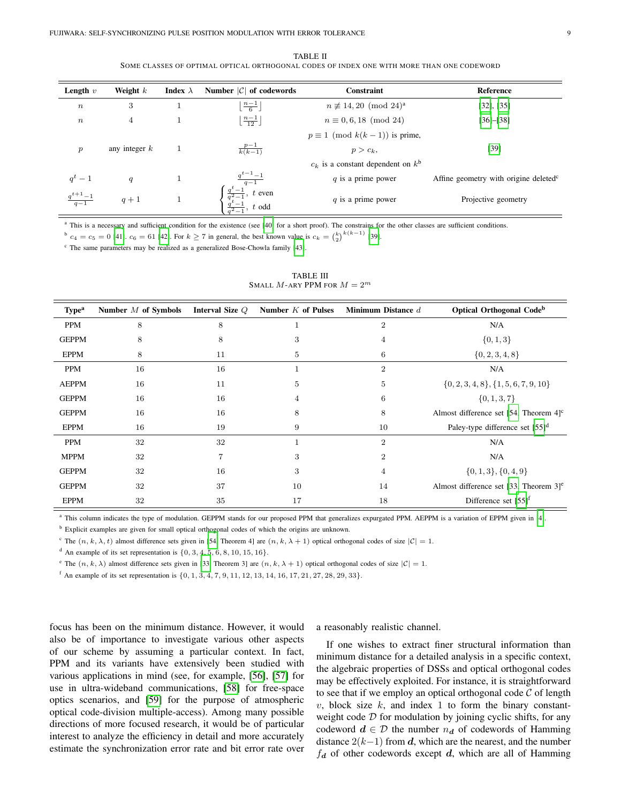<span id="page-8-0"></span>

| Length $v$              | Weight $k$      | Index $\lambda$ | Number $ \mathcal{C} $ of codewords                                                                     | <b>Constraint</b>                       | Reference                                         |
|-------------------------|-----------------|-----------------|---------------------------------------------------------------------------------------------------------|-----------------------------------------|---------------------------------------------------|
| $\boldsymbol{n}$        | 3               |                 | $\lfloor \frac{n-1}{6} \rfloor$                                                                         | $n \not\equiv 14, 20 \pmod{24}^{\rm a}$ | $[32]$ , $[35]$                                   |
| $\boldsymbol{n}$        | 4               |                 | $\lfloor \frac{n-1}{12} \rfloor$                                                                        | $n \equiv 0, 6, 18 \pmod{24}$           | $[36] - [38]$                                     |
|                         |                 |                 |                                                                                                         | $p \equiv 1 \pmod{k(k-1)}$ is prime,    |                                                   |
| $\boldsymbol{p}$        | any integer $k$ |                 | $rac{p-1}{k(k-1)}$                                                                                      | $p > c_k$                               | $[39]$                                            |
|                         |                 |                 |                                                                                                         | $c_k$ is a constant dependent on $k^b$  |                                                   |
| $q^t-1$                 | q               |                 |                                                                                                         | $q$ is a prime power                    | Affine geometry with origine deleted <sup>c</sup> |
| $\frac{q^{t+1}-1}{q-1}$ | $q+1$           |                 | $\int \frac{q^{t-1}-1}{q-1}$<br>$\frac{q^{t}-1}{q^{2}-1}$ , t even<br>$\frac{q^{t}-1}{q^{2}-1}$ , t odd | $q$ is a prime power                    | Projective geometry                               |

TABLE II SOME CLASSES OF OPTIMAL OPTICAL ORTHOGONAL CODES OF INDEX ONE WITH MORE THAN ONE CODEWORD

<sup>a</sup> This is a necessary and sufficient condition for the existence (see [\[40\]](#page-10-21) for a short proof). The constrains for the other classes are sufficient conditions.

 $c_4 = c_5 = 0$  [\[41\]](#page-10-22).  $c_6 = 61$  [\[42\]](#page-10-23). For  $k \ge 7$  in general, the best known value is  $c_k = {k \choose 2}^{k(k-1)}$  [\[39\]](#page-10-20).

<sup>c</sup> The same parameters may be realized as a generalized Bose-Chowla family [\[43\]](#page-10-24).

<span id="page-8-1"></span>

| <b>Type<sup>a</sup></b> | Number $M$ of Symbols | Interval Size Q | Number $K$ of Pulses | Minimum Distance d | <b>Optical Orthogonal Codeb</b>                       |
|-------------------------|-----------------------|-----------------|----------------------|--------------------|-------------------------------------------------------|
| <b>PPM</b>              | 8                     | 8               | 1                    | $\boldsymbol{2}$   | N/A                                                   |
| <b>GEPPM</b>            | 8                     | 8               | 3                    | 4                  | $\{0, 1, 3\}$                                         |
| <b>EPPM</b>             | 8                     | 11              | 5                    | 6                  | $\{0, 2, 3, 4, 8\}$                                   |
| <b>PPM</b>              | 16                    | 16              | 1                    | $\overline{2}$     | N/A                                                   |
| <b>AEPPM</b>            | 16                    | 11              | 5                    | 5                  | $\{0, 2, 3, 4, 8\}, \{1, 5, 6, 7, 9, 10\}$            |
| <b>GEPPM</b>            | 16                    | 16              | 4                    | 6                  | $\{0, 1, 3, 7\}$                                      |
| <b>GEPPM</b>            | 16                    | 16              | 8                    | 8                  | Almost difference set [54, Theorem $4$ ] <sup>c</sup> |
| <b>EPPM</b>             | 16                    | 19              | 9                    | 10                 | Paley-type difference set $[55]$ <sup>d</sup>         |
| <b>PPM</b>              | 32                    | 32              | 1                    | $\overline{2}$     | N/A                                                   |
| <b>MPPM</b>             | 32                    | $\overline{7}$  | 3                    | $\overline{2}$     | N/A                                                   |
| <b>GEPPM</b>            | 32                    | 16              | 3                    | 4                  | $\{0,1,3\},\{0,4,9\}$                                 |
| <b>GEPPM</b>            | 32                    | 37              | 10                   | 14                 | Almost difference set [33, Theorem $3$ ] <sup>e</sup> |
| <b>EPPM</b>             | 32                    | 35              | 17                   | 18                 | Difference set $[55]$ <sup>t</sup>                    |

TABLE III SMALL M-ARY PPM FOR  $M = 2^m$ 

<sup>a</sup> This column indicates the type of modulation. GEPPM stands for our proposed PPM that generalizes expurgated PPM. AEPPM is a variation of EPPM given in [\[4\]](#page-9-3).

<sup>b</sup> Explicit examples are given for small optical orthogonal codes of which the origins are unknown.

<sup>c</sup> The  $(n, k, \lambda, t)$  almost difference sets given in [\[54,](#page-10-25) Theorem 4] are  $(n, k, \lambda + 1)$  optical orthogonal codes of size  $|\mathcal{C}| = 1$ .

<sup>d</sup> An example of its set representation is  $\{0, 3, 4, 5, 6, 8, 10, 15, 16\}.$ 

<sup>e</sup> The  $(n, k, \lambda)$  almost difference sets given in [\[33,](#page-10-10) Theorem 3] are  $(n, k, \lambda + 1)$  optical orthogonal codes of size  $|\mathcal{C}| = 1$ .

f An example of its set representation is  $\{0, 1, 3, 4, 7, 9, 11, 12, 13, 14, 16, 17, 21, 27, 28, 29, 33\}.$ 

focus has been on the minimum distance. However, it would also be of importance to investigate various other aspects of our scheme by assuming a particular context. In fact, PPM and its variants have extensively been studied with various applications in mind (see, for example, [\[56\]](#page-10-27), [\[57\]](#page-10-28) for use in ultra-wideband communications, [\[58\]](#page-10-29) for free-space optics scenarios, and [\[59\]](#page-10-30) for the purpose of atmospheric optical code-division multiple-access). Among many possible directions of more focused research, it would be of particular interest to analyze the efficiency in detail and more accurately estimate the synchronization error rate and bit error rate over

a reasonably realistic channel.

If one wishes to extract finer structural information than minimum distance for a detailed analysis in a specific context, the algebraic properties of DSSs and optical orthogonal codes may be effectively exploited. For instance, it is straightforward to see that if we employ an optical orthogonal code  $\mathcal C$  of length  $v$ , block size  $k$ , and index 1 to form the binary constantweight code  $D$  for modulation by joining cyclic shifts, for any codeword  $d \in \mathcal{D}$  the number  $n_d$  of codewords of Hamming distance  $2(k-1)$  from d, which are the nearest, and the number  $f_d$  of other codewords except d, which are all of Hamming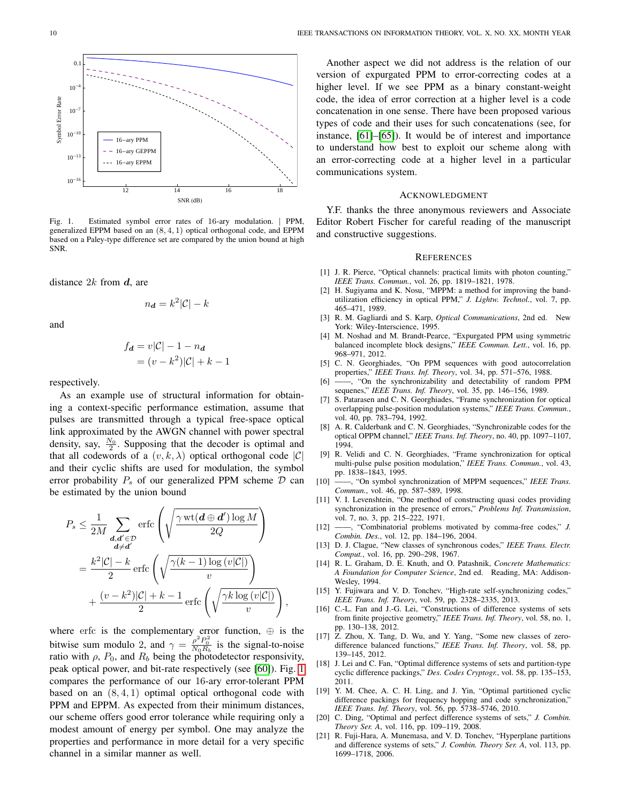

<span id="page-9-13"></span>Fig. 1. Estimated symbol error rates of 16-ary modulation. | PPM, generalized EPPM based on an (8, 4, 1) optical orthogonal code, and EPPM based on a Paley-type difference set are compared by the union bound at high SNR.

distance  $2k$  from  $d$ , are

$$
n_{\mathbf{d}} = k^2 |\mathcal{C}| - k
$$

and

$$
f_{\mathbf{d}} = v|\mathcal{C}| - 1 - n_{\mathbf{d}}
$$

$$
= (v - k^2)|\mathcal{C}| + k - 1
$$

respectively.

As an example use of structural information for obtaining a context-specific performance estimation, assume that pulses are transmitted through a typical free-space optical link approximated by the AWGN channel with power spectral density, say,  $\frac{N_0}{2}$ . Supposing that the decoder is optimal and that all codewords of a  $(v, k, \lambda)$  optical orthogonal code  $|C|$ and their cyclic shifts are used for modulation, the symbol error probability  $P_s$  of our generalized PPM scheme  $D$  can be estimated by the union bound

$$
P_s \le \frac{1}{2M} \sum_{\substack{\mathbf{d}, \mathbf{d}' \in \mathcal{D} \\ \mathbf{d} \neq \mathbf{d}'}} \text{erfc}\left(\sqrt{\frac{\gamma \operatorname{wt}(\mathbf{d} \oplus \mathbf{d}') \log M}{2Q}}\right)
$$

$$
= \frac{k^2 |\mathcal{C}| - k}{2} \operatorname{erfc}\left(\sqrt{\frac{\gamma(k-1) \log(v|\mathcal{C}|)}{v}}\right)
$$

$$
+ \frac{(v - k^2)|\mathcal{C}| + k - 1}{2} \operatorname{erfc}\left(\sqrt{\frac{\gamma k \log(v|\mathcal{C}|)}{v}}\right)
$$

,

where erfc is the complementary error function,  $\oplus$  is the bitwise sum modulo 2, and  $\gamma = \frac{\rho^2 P_0^2}{N_0 R_b}$  is the signal-to-noise ratio with  $\rho$ ,  $P_0$ , and  $R_b$  being the photodetector responsivity, peak optical power, and bit-rate respectively (see [\[60\]](#page-10-31)). Fig. [1](#page-9-13) compares the performance of our 16-ary error-tolerant PPM based on an  $(8, 4, 1)$  optimal optical orthogonal code with PPM and EPPM. As expected from their minimum distances, our scheme offers good error tolerance while requiring only a modest amount of energy per symbol. One may analyze the properties and performance in more detail for a very specific channel in a similar manner as well.

Another aspect we did not address is the relation of our version of expurgated PPM to error-correcting codes at a higher level. If we see PPM as a binary constant-weight code, the idea of error correction at a higher level is a code concatenation in one sense. There have been proposed various types of code and their uses for such concatenations (see, for instance, [\[61\]](#page-10-32)–[\[65\]](#page-10-33)). It would be of interest and importance to understand how best to exploit our scheme along with an error-correcting code at a higher level in a particular communications system.

#### ACKNOWLEDGMENT

Y.F. thanks the three anonymous reviewers and Associate Editor Robert Fischer for careful reading of the manuscript and constructive suggestions.

#### **REFERENCES**

- <span id="page-9-0"></span>[1] J. R. Pierce, "Optical channels: practical limits with photon counting," *IEEE Trans. Commun.*, vol. 26, pp. 1819–1821, 1978.
- <span id="page-9-1"></span>[2] H. Sugiyama and K. Nosu, "MPPM: a method for improving the bandutilization efficiency in optical PPM," *J. Lightw. Technol.*, vol. 7, pp. 465–471, 1989.
- <span id="page-9-2"></span>[3] R. M. Gagliardi and S. Karp, *Optical Communications*, 2nd ed. New York: Wiley-Interscience, 1995.
- <span id="page-9-3"></span>[4] M. Noshad and M. Brandt-Pearce, "Expurgated PPM using symmetric balanced incomplete block designs," *IEEE Commun. Lett.*, vol. 16, pp. 968–971, 2012.
- <span id="page-9-4"></span>[5] C. N. Georghiades, "On PPM sequences with good autocorrelation properties," *IEEE Trans. Inf. Theory*, vol. 34, pp. 571–576, 1988.
- <span id="page-9-6"></span>[6] ——, "On the synchronizability and detectability of random PPM sequenes," *IEEE Trans. Inf. Theory*, vol. 35, pp. 146–156, 1989.
- [7] S. Patarasen and C. N. Georghiades, "Frame synchronization for optical overlapping pulse-position modulation systems," *IEEE Trans. Commun.*, vol. 40, pp. 783–794, 1992.
- [8] A. R. Calderbank and C. N. Georghiades, "Synchronizable codes for the optical OPPM channel," *IEEE Trans. Inf. Theory*, no. 40, pp. 1097–1107, 1994.
- [9] R. Velidi and C. N. Georghiades, "Frame synchronization for optical multi-pulse pulse position modulation," *IEEE Trans. Commun.*, vol. 43, pp. 1838–1843, 1995.
- <span id="page-9-5"></span>[10] ——, "On symbol synchronization of MPPM sequences," *IEEE Trans. Commun.*, vol. 46, pp. 587–589, 1998.
- <span id="page-9-7"></span>[11] V. I. Levenshtein, "One method of constructing quasi codes providing synchronization in the presence of errors," *Problems Inf. Transmission*, vol. 7, no. 3, pp. 215–222, 1971.
- <span id="page-9-8"></span>[12] ——, "Combinatorial problems motivated by comma-free codes," *J. Combin. Des.*, vol. 12, pp. 184–196, 2004.
- <span id="page-9-9"></span>[13] D. J. Clague, "New classes of synchronous codes," *IEEE Trans. Electr. Comput.*, vol. 16, pp. 290–298, 1967.
- <span id="page-9-10"></span>[14] R. L. Graham, D. E. Knuth, and O. Patashnik, *Concrete Mathematics: A Foundation for Computer Science*, 2nd ed. Reading, MA: Addison-Wesley, 1994.
- <span id="page-9-11"></span>[15] Y. Fujiwara and V. D. Tonchev, "High-rate self-synchronizing codes," *IEEE Trans. Inf. Theory*, vol. 59, pp. 2328–2335, 2013.
- <span id="page-9-12"></span>[16] C.-L. Fan and J.-G. Lei, "Constructions of difference systems of sets from finite projective geometry," *IEEE Trans. Inf. Theory*, vol. 58, no. 1, pp. 130–138, 2012.
- [17] Z. Zhou, X. Tang, D. Wu, and Y. Yang, "Some new classes of zerodifference balanced functions," *IEEE Trans. Inf. Theory*, vol. 58, pp. 139–145, 2012.
- [18] J. Lei and C. Fan, "Optimal difference systems of sets and partition-type cyclic difference packings," *Des. Codes Cryptogr.*, vol. 58, pp. 135–153, 2011.
- [19] Y. M. Chee, A. C. H. Ling, and J. Yin, "Optimal partitioned cyclic difference packings for frequency hopping and code synchronization," *IEEE Trans. Inf. Theory*, vol. 56, pp. 5738–5746, 2010.
- [20] C. Ding, "Optimal and perfect difference systems of sets," *J. Combin. Theory Ser. A*, vol. 116, pp. 109–119, 2008.
- [21] R. Fuji-Hara, A. Munemasa, and V. D. Tonchev, "Hyperplane partitions and difference systems of sets," *J. Combin. Theory Ser. A*, vol. 113, pp. 1699–1718, 2006.